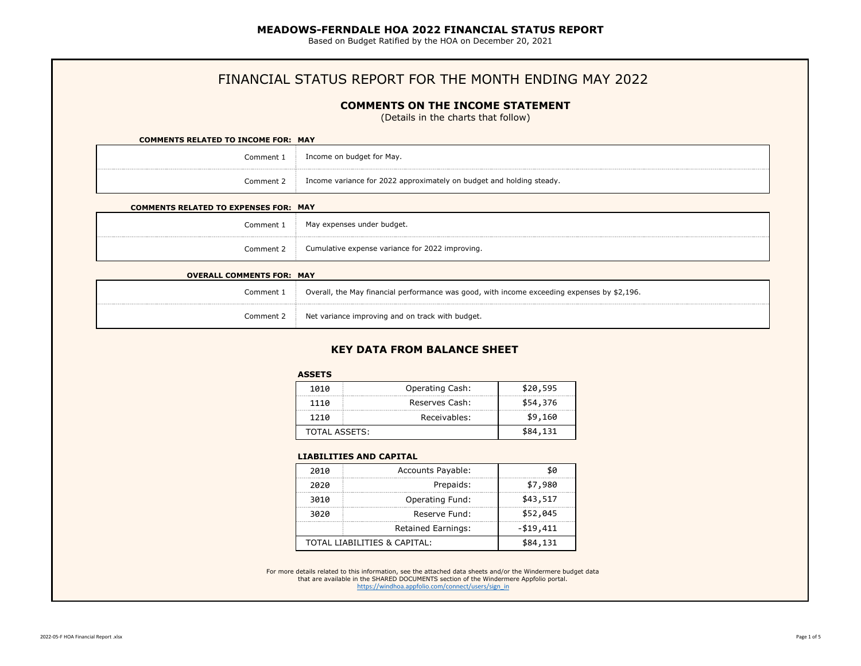Based on Budget Ratified by the HOA on December 20, 2021

# FINANCIAL STATUS REPORT FOR THE MONTH ENDING MAY 2022

### **COMMENTS ON THE INCOME STATEMENT**

(Details in the charts that follow)

## **COMMENTS RELATED TO INCOME FOR: MAY** Comment 1 Comment 2 Income on budget for May. Income variance for 2022 approximately on budget and holding steady.

#### **COMMENTS RELATED TO EXPENSES FOR: MAY**

| Comment <sup>.</sup> | May expenses under budget.                      |
|----------------------|-------------------------------------------------|
| Comment 2            | Cumulative expense variance for 2022 improving. |

| <b>OVERALL COMMENTS FOR: MAY</b> |                                                                                             |
|----------------------------------|---------------------------------------------------------------------------------------------|
| Comment 1                        | Overall, the May financial performance was good, with income exceeding expenses by \$2,196. |
| Comment 2                        | Net variance improving and on track with budget.                                            |

# **KEY DATA FROM BALANCE SHEET**

#### **ASSETS**

| 1010          | Operating Cash: | \$20,595 |
|---------------|-----------------|----------|
| 1110          | Reserves Cash:  | \$54,376 |
| 1210          | Receivables:    | \$9,160  |
| TOTAL ASSETS: |                 | \$84,131 |

#### **LIABILITIES AND CAPITAL**

| 2010 | <b>Accounts Payable:</b>     | 80       |
|------|------------------------------|----------|
| 2020 | Prepaids:                    | \$7,980  |
| 3010 | <b>Operating Fund:</b>       | \$43,517 |
| 3020 | Reserve Fund:                | \$52,045 |
|      | $- $19,411$                  |          |
|      | TOTAL LIABILITIES & CAPITAL: | \$84,131 |

For more details related to this information, see the attached data sheets and/or the Windermere budget data [that are available in](https://windhoa.appfolio.com/connect/users/sign_in) the SHARED DOCUMENTS section of the Windermere Appfolio portal. https://windhoa.appfolio.com/connect/users/sign\_in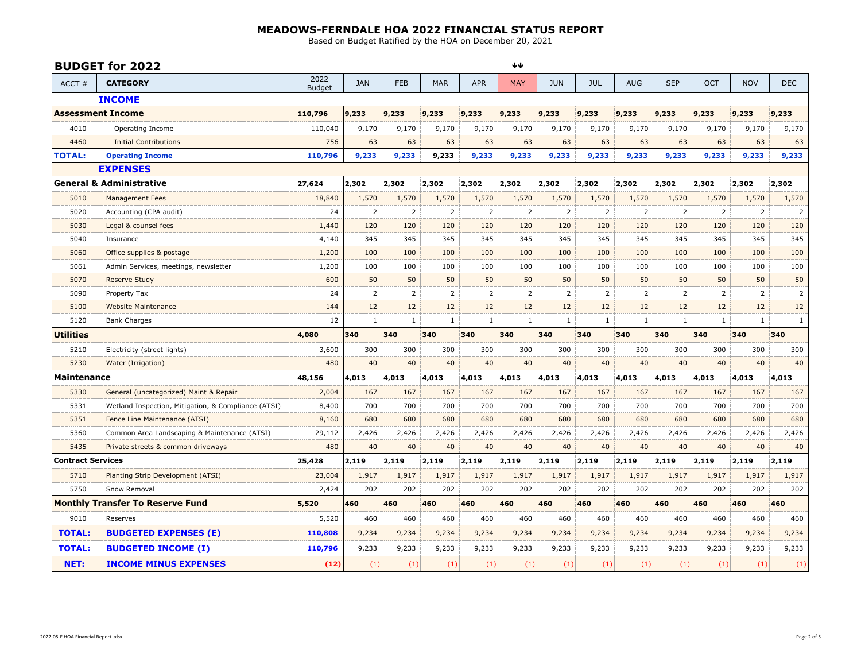Based on Budget Ratified by the HOA on December 20, 2021

|                          | <b>BUDGET for 2022</b>                              |                       |              |              |                |              | ∗∗             |              |                |            |                |                |                |                |
|--------------------------|-----------------------------------------------------|-----------------------|--------------|--------------|----------------|--------------|----------------|--------------|----------------|------------|----------------|----------------|----------------|----------------|
| ACCT#                    | <b>CATEGORY</b>                                     | 2022<br><b>Budget</b> | <b>JAN</b>   | <b>FEB</b>   | <b>MAR</b>     | <b>APR</b>   | <b>MAY</b>     | <b>JUN</b>   | <b>JUL</b>     | <b>AUG</b> | <b>SEP</b>     | OCT            | <b>NOV</b>     | <b>DEC</b>     |
|                          | <b>INCOME</b>                                       |                       |              |              |                |              |                |              |                |            |                |                |                |                |
|                          | <b>Assessment Income</b>                            | 110,796               | 9,233        | 9,233        | 9,233          | 9,233        | 9,233          | 9,233        | 9,233          | 9,233      | 9,233          | 9,233          | 9,233          | 9,233          |
| 4010                     | Operating Income                                    | 110,040               | 9,170        | 9,170        | 9,170          | 9,170        | 9,170          | 9,170        | 9,170          | 9,170      | 9,170          | 9,170          | 9,170          | 9,170          |
| 4460                     | <b>Initial Contributions</b>                        | 756                   | 63           | 63           | 63             | 63           | 63             | 63           | 63             | 63         | 63             | 63             | 63             | 63             |
| <b>TOTAL:</b>            | <b>Operating Income</b>                             | 110,796               | 9,233        | 9,233        | 9,233          | 9,233        | 9,233          | 9,233        | 9,233          | 9,233      | 9,233          | 9,233          | 9,233          | 9,233          |
|                          | <b>EXPENSES</b>                                     |                       |              |              |                |              |                |              |                |            |                |                |                |                |
|                          | <b>General &amp; Administrative</b>                 | 27,624                | 2,302        | 2,302        | 2,302          | 2,302        | 2,302          | 2,302        | 2,302          | 2,302      | 2,302          | 2,302          | 2,302          | 2,302          |
| 5010                     | <b>Management Fees</b>                              | 18,840                | 1,570        | 1,570        | 1,570          | 1,570        | 1,570          | 1,570        | 1,570          | 1,570      | 1,570          | 1,570          | 1,570          | 1,570          |
| 5020                     | Accounting (CPA audit)                              | 24                    | 2            | 2            | $\overline{2}$ | 2            | $\overline{2}$ | 2            | $\overline{2}$ | 2          | $\overline{2}$ | 2              | $\overline{2}$ | $\overline{2}$ |
| 5030                     | Legal & counsel fees                                | 1,440                 | 120          | 120          | 120            | 120          | 120            | 120          | 120            | 120        | 120            | 120            | 120            | 120            |
| 5040                     | Insurance                                           | 4,140                 | 345          | 345          | 345            | 345          | 345            | 345          | 345            | 345        | 345            | 345            | 345            | 345            |
| 5060                     | Office supplies & postage                           | 1,200                 | 100          | 100          | 100            | 100          | 100            | 100          | 100            | 100        | 100            | 100            | 100            | 100            |
| 5061                     | Admin Services, meetings, newsletter                | 1,200                 | 100          | 100          | 100            | 100          | 100            | 100          | 100            | 100        | 100            | 100            | 100            | 100            |
| 5070                     | Reserve Study                                       | 600                   | 50           | 50           | 50             | 50           | 50             | 50           | 50             | 50         | 50             | 50             | 50             | 50             |
| 5090                     | Property Tax                                        | 24                    | 2            | 2            | $\overline{2}$ | 2            | 2              | 2            | 2              | 2          | 2              | $\overline{2}$ | $\overline{2}$ | 2              |
| 5100                     | <b>Website Maintenance</b>                          | 144                   | 12           | 12           | 12             | 12           | 12             | 12           | 12             | 12         | 12             | 12             | 12             | 12             |
| 5120                     | <b>Bank Charges</b>                                 | 12                    | $\mathbf{1}$ | $\mathbf{1}$ | $\mathbf{1}$   | $\mathbf{1}$ | $\mathbf{1}$   | $\mathbf{1}$ | $\mathbf{1}$   | 1          | $\mathbf{1}$   | $\mathbf{1}$   | $\mathbf{1}$   | $\mathbf{1}$   |
| Utilities                |                                                     | 4,080                 | 340          | 340          | 340            | 340          | 340            | 340          | 340            | 340        | 340            | 340            | 340            | 340            |
| 5210                     | Electricity (street lights)                         | 3,600                 | 300          | 300          | 300            | 300          | 300            | 300          | 300            | 300        | 300            | 300            | 300            | 300            |
| 5230                     | Water (Irrigation)                                  | 480                   | 40           | 40           | 40             | 40           | 40             | 40           | 40             | 40         | 40             | 40             | 40             | 40             |
| <b>Maintenance</b>       |                                                     | 48,156                | 4,013        | 4,013        | 4,013          | 4,013        | 4,013          | 4,013        | 4,013          | 4,013      | 4,013          | 4,013          | 4,013          | 4,013          |
| 5330                     | General (uncategorized) Maint & Repair              | 2,004                 | 167          | 167          | 167            | 167          | 167            | 167          | 167            | 167        | 167            | 167            | 167            | 167            |
| 5331                     | Wetland Inspection, Mitigation, & Compliance (ATSI) | 8,400                 | 700          | 700          | 700            | 700          | 700            | 700          | 700            | 700        | 700            | 700            | 700            | 700            |
| 5351                     | Fence Line Maintenance (ATSI)                       | 8,160                 | 680          | 680          | 680            | 680          | 680            | 680          | 680            | 680        | 680            | 680            | 680            | 680            |
| 5360                     | Common Area Landscaping & Maintenance (ATSI)        | 29,112                | 2,426        | 2,426        | 2,426          | 2,426        | 2,426          | 2,426        | 2,426          | 2,426      | 2,426          | 2,426          | 2,426          | 2,426          |
| 5435                     | Private streets & common driveways                  | 480                   | 40           | 40           | 40             | 40           | 40             | 40           | 40             | 40         | 40             | 40             | 40             | 40             |
| <b>Contract Services</b> |                                                     | 25,428                | 2,119        | 2,119        | 2,119          | 2,119        | 2,119          | 2,119        | 2,119          | 2,119      | 2,119          | 2,119          | 2,119          | 2,119          |
| 5710                     | Planting Strip Development (ATSI)                   | 23,004                | 1,917        | 1,917        | 1,917          | 1,917        | 1,917          | 1,917        | 1,917          | 1,917      | 1,917          | 1,917          | 1,917          | 1,917          |
| 5750                     | Snow Removal                                        | 2,424                 | 202          | 202          | 202            | 202          | 202            | 202          | 202            | 202        | 202            | 202            | 202            | 202            |
|                          | <b>Monthly Transfer To Reserve Fund</b>             | 5,520                 | 460          | 460          | 460            | 460          | 460            | 460          | 460            | 460        | 460            | 460            | 460            | 460            |
| 9010                     | Reserves                                            | 5,520                 | 460          | 460          | 460            | 460          | 460            | 460          | 460            | 460        | 460            | 460            | 460            | 460            |
|                          |                                                     |                       |              |              |                |              |                |              |                |            |                |                |                |                |
| <b>TOTAL:</b>            | <b>BUDGETED EXPENSES (E)</b>                        | 110,808               | 9,234        | 9,234        | 9,234          | 9,234        | 9,234          | 9,234        | 9,234          | 9,234      | 9,234          | 9,234          | 9,234          | 9,234          |
| <b>TOTAL:</b>            | <b>BUDGETED INCOME (I)</b>                          | 110,796               | 9,233        | 9,233        | 9,233          | 9,233        | 9,233          | 9,233        | 9,233          | 9,233      | 9,233          | 9,233          | 9,233          | 9,233          |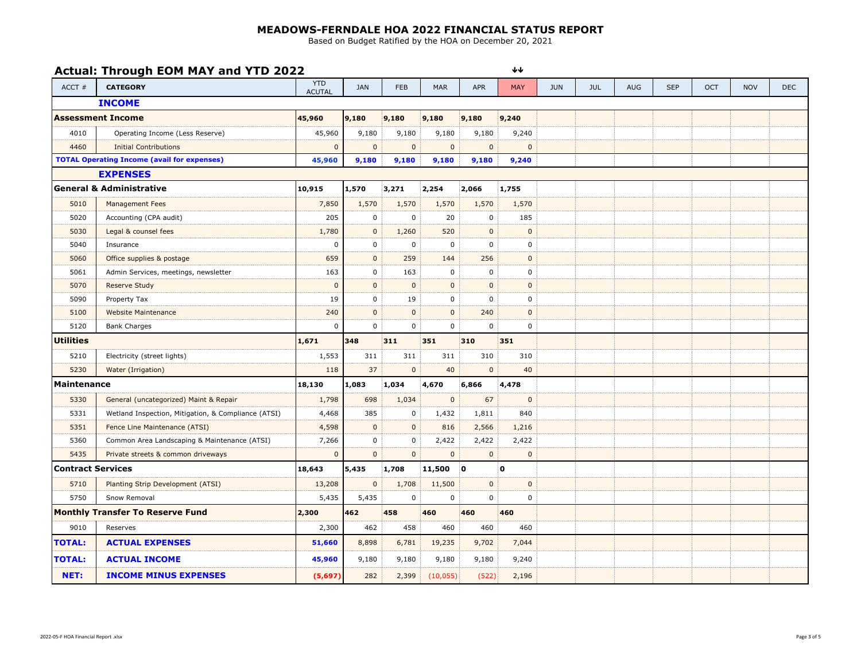Based on Budget Ratified by the HOA on December 20, 2021

 $\downarrow \downarrow$ 

## **Actual: Through EOM MAY and YTD 2022**

ACCT # **CATEGORY** YTD ACUTAL ACUTAL JAN FEB MAR APR MAY JUN JUL AUG SEP OCT NOV DEC **INCOME 45,960 9,180 9,180 9,180 9,180 9,240** 4010 Operating Income (Less Reserve) 45,960 9,180 9,180 9,180 9,180 9,240 4460 Initial Contributions and the contributions and the contributions of the contributions of the contributions of the contributions of the contributions of the contributions of the contributions of the contributions of t **45,960 9,180 9,180 9,180 9,180 9,240 EXPENSES 10,915 1,570 3,271 2,254 2,066 1,755** 5010 Management Fees 7,850 1,570 1,570 1,570 1,570 1,570 5020 Accounting (CPA audit) 205 0 0 20 0 185 5030 Legal & counsel fees 1,780 0 1,260 520 0 0 5040 Insurance 0 0 0 0 0 0 5060 Office supplies & postage 659 0 259 144 256 0 5061 Admin Services, meetings, newsletter 163 0 163 0 0 0 5070 Reserve Study 0 0 0 0 0 0 5090 Property Tax 19 0 19 0 0 0 5100 Website Maintenance 240 0 0 0 240 0 5120 Bank Charges 0 0 0 0 0 0 **1,671 348 311 351 310 351** 5210 Electricity (street lights) 1,553 311 311 311 310 310 5230 Water (Irrigation) 118 37 0 40 0 40 **18,130 1,083 1,034 4,670 6,866 4,478** 5330 General (uncategorized) Maint & Repair 1,798 698 1,034 0 67 0 5331 | Wetland Inspection, Mitigation, & Compliance (ATSI) | 4,468 | 385 | 0 | 1,432 | 1,811 | 840 5351 Fence Line Maintenance (ATSI) 4,598 0 0 816 2,566 1,216 5360 Common Area Landscaping & Maintenance (ATSI) 7,266 0 0 2,422 2,422 2,422 2,422 5435 Private streets & common driveways 0 0 0 0 0 0 **18,643 5,435 1,708 11,500 0 0** 5710 | Planting Strip Development (ATSI) | 13,208 | 0 | 1,708 | 11,500 | 0 | 0 0 5750 Snow Removal 5,435 5,435 0 0 0 0 **2,300 462 458 460 460 460** 9010 Reserves 2,300 462 458 460 460 460 **TOTAL: ACTUAL EXPENSES 51,660** 8,898 6,781 19,235 9,702 7,044 **TOTAL: ACTUAL INCOME 45,960** 9,180 9,180 9,180 9,180 9,240 **NET: INCOME MINUS EXPENSES (5,697)** 282 2,399 (10,055) (522) 2,196 **General & Administrative Assessment Income Utilities Maintenance Contract Services Monthly Transfer To Reserve Fund TOTAL Operating Income (avail for expenses)**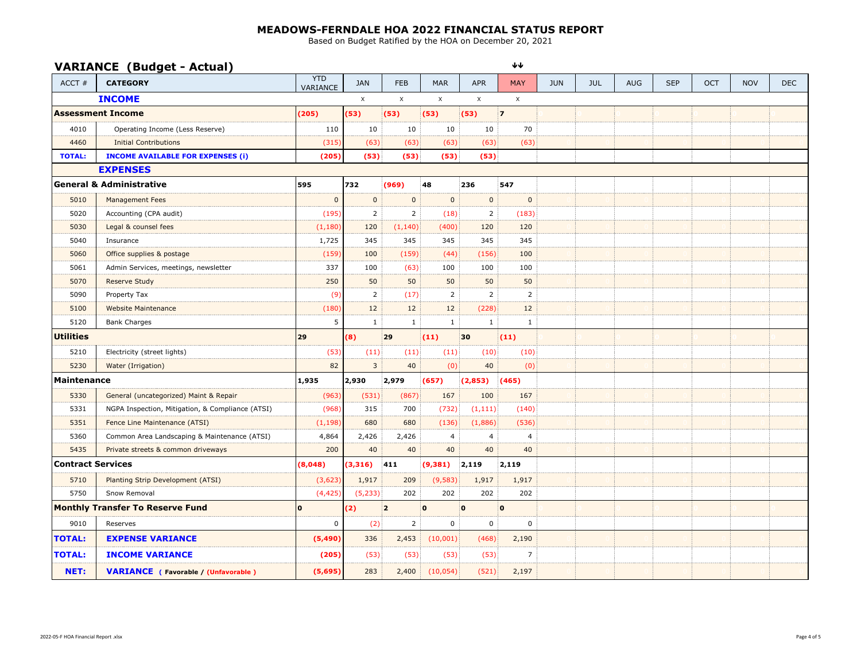Based on Budget Ratified by the HOA on December 20, 2021

## **VARIANCE (Budget - Actual)**

 $\blacklozenge\blacklozenge$ 

| $ACCT$ #                 | $\sqrt{2}$<br><b>CATEGORY</b>                    | <b>YTD</b><br>VARIANCE | <b>JAN</b>     | <b>FEB</b>     | <b>MAR</b>   | <b>APR</b>     | <b>MAY</b>     | <b>JUN</b> | <b>JUL</b> | <b>AUG</b> | <b>SEP</b> | <b>OCT</b> | <b>NOV</b> | <b>DEC</b> |
|--------------------------|--------------------------------------------------|------------------------|----------------|----------------|--------------|----------------|----------------|------------|------------|------------|------------|------------|------------|------------|
| <b>INCOME</b>            |                                                  |                        | $\mathsf X$    | $\mathsf X$    | $\mathsf X$  | $\mathsf X$    | $\mathsf{X}$   |            |            |            |            |            |            |            |
|                          | <b>Assessment Income</b>                         | (205)                  | (53)           | (53)           | (53)         | (53)           | $\overline{7}$ |            |            |            |            |            |            |            |
| 4010                     | Operating Income (Less Reserve)                  | 110                    | 10             | 10             | 10           | 10             | 70             |            |            |            |            |            |            |            |
| 4460                     | <b>Initial Contributions</b>                     | (315)                  | (63)           | (63)           | (63)         | (63)           | (63)           |            |            |            |            |            |            |            |
| <b>TOTAL:</b>            | <b>INCOME AVAILABLE FOR EXPENSES (i)</b>         | (205)                  | (53)           | (53)           | (53)         | (53)           |                |            |            |            |            |            |            |            |
|                          | <b>EXPENSES</b>                                  |                        |                |                |              |                |                |            |            |            |            |            |            |            |
|                          | <b>General &amp; Administrative</b>              | 595                    | 732            | (969)          | 48           | 236            | 547            |            |            |            |            |            |            |            |
| 5010                     | <b>Management Fees</b>                           | $\mathbf{0}$           | $\mathbf 0$    | $\mathbf 0$    | $\mathbf{0}$ | $\mathbf 0$    | $\mathbf 0$    |            |            |            |            |            |            |            |
| 5020                     | Accounting (CPA audit)                           | (195)                  | $\overline{2}$ | $\overline{2}$ | (18)         | $\overline{2}$ | (183)          |            |            |            |            |            |            |            |
| 5030                     | Legal & counsel fees                             | (1,180)                | 120            | (1, 140)       | (400)        | 120            | 120            |            |            |            |            |            |            |            |
| 5040                     | Insurance                                        | 1,725                  | 345            | 345            | 345          | 345            | 345            |            |            |            |            |            |            |            |
| 5060                     | Office supplies & postage                        | (159)                  | 100            | (159)          | (44)         | (156)          | 100            |            |            |            |            |            |            |            |
| 5061                     | Admin Services, meetings, newsletter             | 337                    | 100            | (63)           | 100          | 100            | 100            |            |            |            |            |            |            |            |
| 5070                     | <b>Reserve Study</b>                             | 250                    | 50             | 50             | 50           | 50             | 50             |            |            |            |            |            |            |            |
| 5090                     | Property Tax                                     | (9)                    | 2              | (17)           | 2            | 2              | 2              |            |            |            |            |            |            |            |
| 5100                     | Website Maintenance                              | (180)                  | 12             | 12             | 12           | (228)          | 12             |            |            |            |            |            |            |            |
| 5120                     | <b>Bank Charges</b>                              | 5                      | $\mathbf{1}$   | $\mathbf{1}$   | $\mathbf{1}$ | $\mathbf{1}$   | 1              |            |            |            |            |            |            |            |
| <b>Utilities</b>         |                                                  | 29                     | (8)            | 29             | (11)         | 30             | (11)           |            |            |            |            |            |            |            |
| 5210                     | Electricity (street lights)                      | (53)                   | (11)           | (11)           | (11)         | (10)           | (10)           |            |            |            |            |            |            |            |
| 5230                     | Water (Irrigation)                               | 82                     | $\mathbf{3}$   | 40             | (0)          | 40             | (0)            |            |            |            |            |            |            |            |
| Maintenance              |                                                  | 1,935                  | 2,930          | 2,979          | (657)        | (2,853)        | (465)          |            |            |            |            |            |            |            |
| 5330                     | General (uncategorized) Maint & Repair           | (963)                  | (531)          | (867)          | 167          | 100            | 167            |            |            |            |            |            |            |            |
| 5331                     | NGPA Inspection, Mitigation, & Compliance (ATSI) | (968)                  | 315            | 700            | (732)        | (1, 111)       | (140)          |            |            |            |            |            |            |            |
| 5351                     | Fence Line Maintenance (ATSI)                    | (1, 198)               | 680            | 680            | (136)        | (1,886)        | (536)          |            |            |            |            |            |            |            |
| 5360                     | Common Area Landscaping & Maintenance (ATSI)     | 4,864                  | 2,426          | 2,426          | 4            | 4              | $\overline{4}$ |            |            |            |            |            |            |            |
| 5435                     | Private streets & common driveways               | 200                    | 40             | 40             | 40           | 40             | 40             |            |            |            |            |            |            |            |
| <b>Contract Services</b> |                                                  | (8,048)                | (3, 316)       | 411            | (9, 381)     | 2,119          | 2,119          |            |            |            |            |            |            |            |
| 5710                     | Planting Strip Development (ATSI)                | (3,623)                | 1,917          | 209            | (9, 583)     | 1,917          | 1,917          |            |            |            |            |            |            |            |
| 5750                     | Snow Removal                                     | (4, 425)               | (5, 233)       | 202            | 202          | 202            | 202            |            |            |            |            |            |            |            |
|                          | <b>Monthly Transfer To Reserve Fund</b>          | $\mathbf{0}$           | (2)            | $\overline{2}$ | ۱O           | $\mathbf{0}$   | $\mathbf{0}$   |            |            |            |            |            |            |            |
| 9010                     | Reserves                                         | 0                      | (2)            | $\overline{2}$ | 0            | $\mathbf 0$    | $\pmb{0}$      |            |            |            |            |            |            |            |
| <b>TOTAL:</b>            | <b>EXPENSE VARIANCE</b>                          | (5, 490)               | 336            | 2,453          | (10,001)     | (468)          | 2,190          |            |            |            |            |            |            |            |
| <b>TOTAL:</b>            | <b>INCOME VARIANCE</b>                           | (205)                  | (53)           | (53)           | (53)         | (53)           | $\overline{7}$ |            |            |            |            |            |            |            |
| NET:                     | <b>VARIANCE</b> (Favorable / (Unfavorable)       | (5,695)                | 283            | 2,400          | (10, 054)    | (521)          | 2,197          |            |            |            |            |            |            |            |